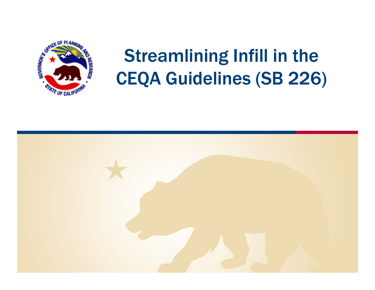

# Streamlining Infill in the CEQA Guidelines (SB 226)

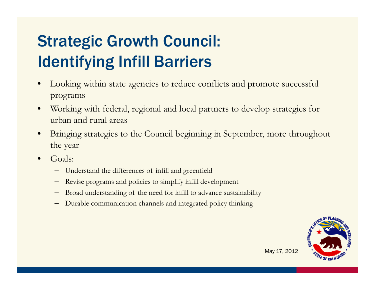## Strategic Growth Council: Identifying Infill Barriers

- • Looking within state agencies to reduce conflicts and promote successful programs
- • Working with federal, regional and local partners to develop strategies for urban and rural areas
- • Bringing strategies to the Council beginning in September, more throughout the year
- • Goals:
	- Understand the differences of infill and greenfield
	- Revise programs and policies to simplify infill development
	- Broad understanding of the need for infill to advance sustainability
	- Durable communication channels and integrated policy thinking

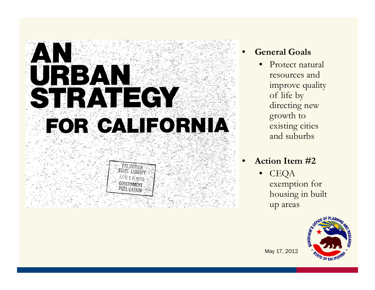# STRATEGY FOR CALIFORNIA



- • **General Goals Goals**
	- • Protect natural resources and improve quality of life by directing new growth to existing cities and suburbs

#### • **Action Item #2**

• CEQA exemption for housing in built up areas

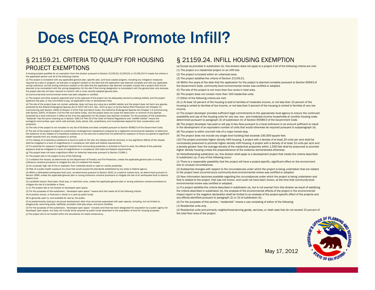### Does CEQA Promote Infill?

#### § 21159.21. CRITERIA TO QUALIFY FOR HOUSING PROJECT EXEMPTIONS

A housing project qualifies for an exemption from this division pursuant to Section 21159.22, 21159.23, or 21159.24 if it meets the criteria in the applicable section and all of the following criteria:

(a) The project is consistent with any applicable general plan, specific plan, and local coastal program, including any mitigation measures required by a plan or program, as that plan or program existed on the date that the application was deemed complete and with any applicable zoning ordinance, as that zoning ordinance existed on the date that the application was deemed complete, except that a project shall not be deemed to be inconsistent with the zoning designation for the site if that zoning designation is inconsistent with the general plan only because the project site has not been rezoned to conform with a more recently adopted general plan.

(b) Community-level environmental review has been adopted or certified.

(c) The project and other projects approved prior to the approval of the project can be adequately served by existing utilities, and the project applicant has paid, or has committed to pay, all applicable in-lieu or development fees.

(d) The site of the project does not contain wetlands, does not have any value as a wildlife habitat, and the project does not harm any species protected by the federal Endangered Species Act of 1973 (16 U.S.C. Sec. 1531 et seq.) or by the Native Plant Protection Act (Chapter 10 (commencing with Section 1900) of Division 2 of the Fish and Game Code), the California Endangered Species Act (Chapter 1.5 (commencing with Section 2050), of Division 3 of the Fish and Game Code), and the project does not cause the destruction or removal of any species protected by a local ordinance in effect at the time the application for the project was deemed complete. For the purposes of this subdivision, "wetlands" has the same meaning as in Section 328.3 of Title 33 of the Code of Federal Regulations and "wildlife habitat" means the ecological communities upon which wild animals, birds, plants, fish, amphibians, and invertebrates depend for their conservation and protection.

(f) The site of the project is subject to a preliminary endangerment assessment prepared by a registered environmental assessor to determine the existence of any release of a hazardous substance on the site and to determine the potential for exposure of future occupants to significant health hazards from any nearby property or activity.

(1) If a release of a hazardous substance is found to exist on the site, the release shall be removed, or any significant effects of the release shall be mitigated to a level of insignificance in compliance with state and federal requirements.

(2) If a potential for exposure to significant hazards from surrounding properties or activities is found to exist, the effects of the potential exposure shall be mitigated to a level of insignificance in compliance with state and federal requirements.

(g) The project does not have a significant effect on historical resources pursuant to Section 21084.1.

(h) The project site is not subject to any of the following:

(1) A wildland fire hazard, as determined by the Department of Forestry and Fire Protection, unless the applicable general plan or zoning ordinance contains provisions to mitigate the risk of a wildland fire hazard.

(3) Risk of a public health exposure at a level that would exceed the standards established by any state or federal agency.

(4) Within a delineated earthquake fault zone, as determined pursuant to Section 2622, or a seismic hazard zone, as determined pursuant to Section 2696, unless the applicable general plan or zoning ordinance contains provisions to mitigate the risk of an earthquake fault or seismic hazard zone.

(5) Landslide hazard, flood plain, flood way, or restriction zone, unless the applicable general plan or zoning ordinance contains provisions to mitigate the risk of a landslide or flood.

(i) (1) The project site is not located on developed open space.

(2) For the purposes of this subdivision, "developed open space" means land that meets all of the following criteria:

(A) Is publicly owned, or financed in whole or in part by public funds.

(B) Is generally open to, and available for use by, the public.

(C) Is predominantly lacking in structural development other than structures associated with open spaces, including, but not limited to, playgrounds, swimming pools, ballfields, enclosed child play areas, and picnic facilities.

(3) For the purposes of this subdivision, "developed open space" includes land that has been designated for acquisition by a public agency for developed open space, but does not include lands acquired by public funds dedicated to the acquisition of land for housing purposes.

(j) The project site is not located within the boundaries of a state conservancy.

#### § 21159.24. INFILL HOUSING EXEMPTION

(a) Except as provided in subdivision (b), this division does not apply to a project if all of the following criteria are met: (1) The project is a residential project on an infill site.

(2) The project is located within an urbanized area.

(3) The project satisfies the criteria of Section 21159.21.

(4) Within five years of the date that the application for the project is deemed complete pursuant to Section 65943 of the Government Code, community-level environmental review was certified or adopted.

area.

(6) The project does not contain more than 100 residential units.

(7) Either of the following criteria are met:

(A) (i) At least 10 percent of the housing is sold to families of moderate income, or not less than 10 percent of the housing is rented to families of low income, or not less than 5 percent of the housing is rented to families of very low income.

(ii) The project developer provides sufficient legal commitments to the appropriate local agency to ensure the continued availability and use of the housing units for very low, low-, and moderate-income households at monthly housing costs determined pursuant to paragraph (3) of subdivision (h) of Section 65589.5 of the Government Code.

(B) The project developer has paid or will pay in-lieu fees pursuant to a local ordinance in an amount sufficient to result (e) The site of the project is not included on any list of facilities and sites compiled pursuant to Section 65962.5 of the Government Code. in the development of an equivalent number of units that would otherwise be requi (8) The project is within one-half mile of a major transit stop.

(9) The project does not include any single level building that exceeds 100,000 square feet.

(10) The project promotes higher density infill housing. A project with a density of at least 20 units per acre shall be conclusively presumed to promote higher density infill housing. A project with a density of at least 10 units per acre and a density greater than the average density of the residential properties within 1,500 feet shall be presumed to promote higher density housing unless the preponderance of the evidence demonstrates otherwise.

(b) Notwithstanding subdivision (a), this division shall apply to a development project that meets the criteria described in subdivision (a), if any of the following occur:

(1) There is a reasonable possibility that the project will have a project-specific, significant effect on the environment order is a reasonable possibility that the project will have a project-specific, significant effect due to unusual circumstances.

> (2) Substantial changes with respect to the circumstances under which the project is being undertaken that are related to the project have occurred since community-level environmental review was certified or adopted.

(3) New information becomes available regarding the circumstances under which the project is being undertaken and that is related to the project, that was not known, and could not have been known, at the time that community-level environmental review was certified or adopted.

(c) If a project satisfies the criteria described in subdivision (a), but is not exempt from this division as result of satisfying the criteria described in subdivision (b), the analysis of the environmental effects of the project in the environmental impact report or the negative declaration shall be limited to an analysis of the project-specific effect of the projects and any effects identified pursuant to paragraph (2) or (3) of subdivision (b).

(d) For the purposes of this section, "residential" means a use consisting of either of the following: (1) Residential units only.

(2) Residential units and primarily neighborhood-serving goods, services, or retail uses that do not exceed 15 percent of the total floor area of the project.

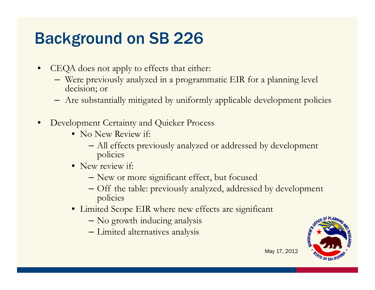### Background on SB 226

- • CEQA does not apply to effects that either:
	- Were previously analyzed in a programmatic EIR for a planning level decision; or
	- Are substantially mitigated by uniformly applicable development policies
- •• Development Certainty and Quicker Process
	- No New Review if:
		- All effects previously analyzed or addressed by development policies
	- New review if:
		- New or more significant effect, but focused
		- Off the table: previously analyzed, addressed by development policies
	- Limited Scope EIR where new effects are significant
		- No growth inducing analysis
		- Limited alternatives analysis

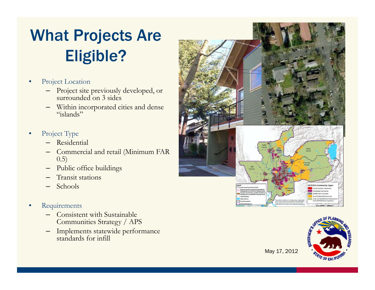## What Projects Are Eligible?

- • Project Location
	- Project site previously developed, or surrounded on 3 sides
	- Within incorporated cities and dense "islands"
- • Project Type
	- Residential
	- Commercial and retail (Minimum FAR 0.5)
	- –Public office buildings
	- Transit stations
	- Schools
- • Requirements
	- Consistent with Sustainable Communities Strategy / APS
	- Implements statewide performance standards for infill



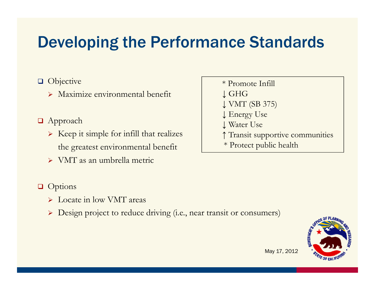### Developing the Performance Standards

#### **Objective**  $\blacksquare$  Objective  $\blacksquare$

Maximize environmental benefit

### **□** Approach

- $\triangleright$  Keep it simple for infill that realizes the greatest environmental benefit
- VMT as an umbrella metric

#### **Q** Options

- > Locate in low VMT areas
- Design project to reduce driving (i.e., near transit or consumers)
- 

- ↓ GHG
- ↓ VMT (SB 375)
- ↓ Energy Use
- ↓ Water Use
- ↑ Transit supportive communities
- \* Protect public health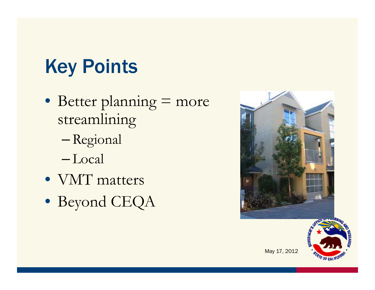# Key Points

- Better planning = more streamlining
	- Regional
	- Local
- VMT matters
- Beyond CEQA